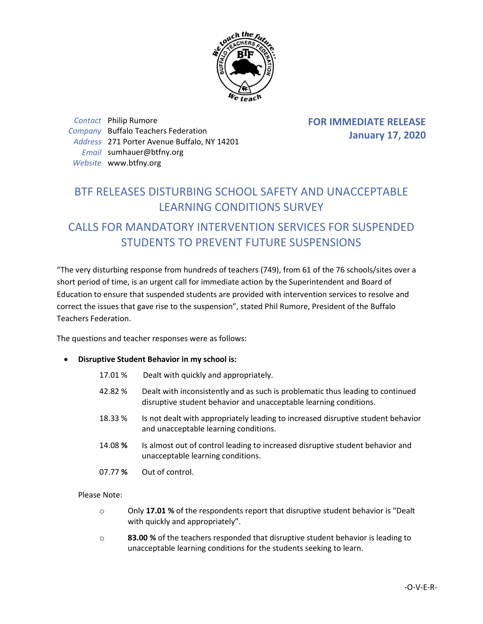

*Contact* Philip Rumore *Company* Buffalo Teachers Federation *Address* 271 Porter Avenue Buffalo, NY 14201 *Email* sumhauer@btfny.org *Website* www.btfny.org

**FOR IMMEDIATE RELEASE January 17, 2020**

## BTF RELEASES DISTURBING SCHOOL SAFETY AND UNACCEPTABLE LEARNING CONDITIONS SURVEY

## CALLS FOR MANDATORY INTERVENTION SERVICES FOR SUSPENDED STUDENTS TO PREVENT FUTURE SUSPENSIONS

"The very disturbing response from hundreds of teachers (749), from 61 of the 76 schools/sites over a short period of time, is an urgent call for immediate action by the Superintendent and Board of Education to ensure that suspended students are provided with intervention services to resolve and correct the issues that gave rise to the suspension", stated Phil Rumore, President of the Buffalo Teachers Federation.

The questions and teacher responses were as follows:

- **Disruptive Student Behavior in my school is:**
	- 17.01 % Dealt with quickly and appropriately.
	- 42.82 % Dealt with inconsistently and as such is problematic thus leading to continued disruptive student behavior and unacceptable learning conditions.
	- 18.33 % Is not dealt with appropriately leading to increased disruptive student behavior and unacceptable learning conditions.
	- 14.08 **%** Is almost out of control leading to increased disruptive student behavior and unacceptable learning conditions.
	- 07.77 **%** Out of control.

Please Note:

- o Only **17.01 %** of the respondents report that disruptive student behavior is "Dealt with quickly and appropriately".
- o **83.00 %** of the teachers responded that disruptive student behavior is leading to unacceptable learning conditions for the students seeking to learn.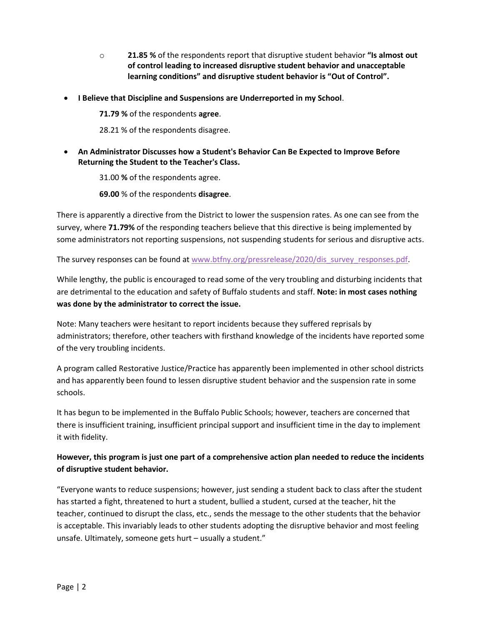- o **21.85 %** of the respondents report that disruptive student behavior **"Is almost out of control leading to increased disruptive student behavior and unacceptable learning conditions" and disruptive student behavior is "Out of Control".**
- **I Believe that Discipline and Suspensions are Underreported in my School**.

**71.79 %** of the respondents **agree**.

28.21 % of the respondents disagree.

 **An Administrator Discusses how a Student's Behavior Can Be Expected to Improve Before Returning the Student to the Teacher's Class.**

31.00 **%** of the respondents agree.

**69.00** % of the respondents **disagree**.

There is apparently a directive from the District to lower the suspension rates. As one can see from the survey, where **71.79%** of the responding teachers believe that this directive is being implemented by some administrators not reporting suspensions, not suspending students for serious and disruptive acts.

The survey responses can be found at [www.btfny.org/pressrelease/2020/dis\\_survey\\_responses.pdf.](http://www.btfny.org/pressrelease/2020/dis_survey_responses.pdf)

While lengthy, the public is encouraged to read some of the very troubling and disturbing incidents that are detrimental to the education and safety of Buffalo students and staff. **Note: in most cases nothing was done by the administrator to correct the issue.**

Note: Many teachers were hesitant to report incidents because they suffered reprisals by administrators; therefore, other teachers with firsthand knowledge of the incidents have reported some of the very troubling incidents.

A program called Restorative Justice/Practice has apparently been implemented in other school districts and has apparently been found to lessen disruptive student behavior and the suspension rate in some schools.

It has begun to be implemented in the Buffalo Public Schools; however, teachers are concerned that there is insufficient training, insufficient principal support and insufficient time in the day to implement it with fidelity.

## **However, this program is just one part of a comprehensive action plan needed to reduce the incidents of disruptive student behavior.**

"Everyone wants to reduce suspensions; however, just sending a student back to class after the student has started a fight, threatened to hurt a student, bullied a student, cursed at the teacher, hit the teacher, continued to disrupt the class, etc., sends the message to the other students that the behavior is acceptable. This invariably leads to other students adopting the disruptive behavior and most feeling unsafe. Ultimately, someone gets hurt – usually a student."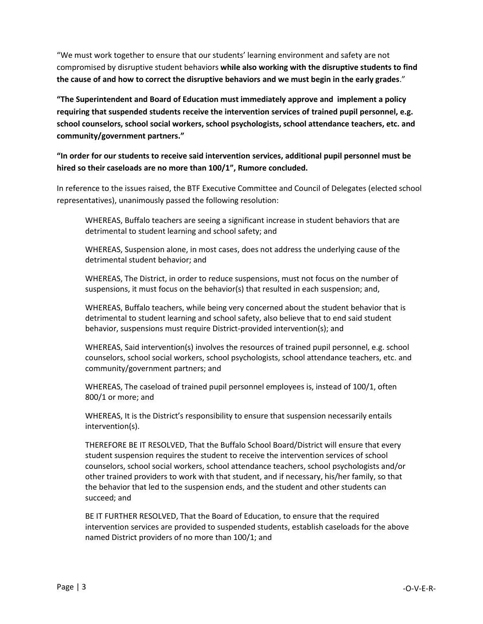"We must work together to ensure that our students' learning environment and safety are not compromised by disruptive student behaviors **while also working with the disruptive students to find the cause of and how to correct the disruptive behaviors and we must begin in the early grades**."

**"The Superintendent and Board of Education must immediately approve and implement a policy requiring that suspended students receive the intervention services of trained pupil personnel, e.g. school counselors, school social workers, school psychologists, school attendance teachers, etc. and community/government partners."**

**"In order for our students to receive said intervention services, additional pupil personnel must be hired so their caseloads are no more than 100/1", Rumore concluded.**

In reference to the issues raised, the BTF Executive Committee and Council of Delegates (elected school representatives), unanimously passed the following resolution:

WHEREAS, Buffalo teachers are seeing a significant increase in student behaviors that are detrimental to student learning and school safety; and

WHEREAS, Suspension alone, in most cases, does not address the underlying cause of the detrimental student behavior; and

WHEREAS, The District, in order to reduce suspensions, must not focus on the number of suspensions, it must focus on the behavior(s) that resulted in each suspension; and,

WHEREAS, Buffalo teachers, while being very concerned about the student behavior that is detrimental to student learning and school safety, also believe that to end said student behavior, suspensions must require District-provided intervention(s); and

WHEREAS, Said intervention(s) involves the resources of trained pupil personnel, e.g. school counselors, school social workers, school psychologists, school attendance teachers, etc. and community/government partners; and

WHEREAS, The caseload of trained pupil personnel employees is, instead of 100/1, often 800/1 or more; and

WHEREAS, It is the District's responsibility to ensure that suspension necessarily entails intervention(s).

THEREFORE BE IT RESOLVED, That the Buffalo School Board/District will ensure that every student suspension requires the student to receive the intervention services of school counselors, school social workers, school attendance teachers, school psychologists and/or other trained providers to work with that student, and if necessary, his/her family, so that the behavior that led to the suspension ends, and the student and other students can succeed; and

BE IT FURTHER RESOLVED, That the Board of Education, to ensure that the required intervention services are provided to suspended students, establish caseloads for the above named District providers of no more than 100/1; and